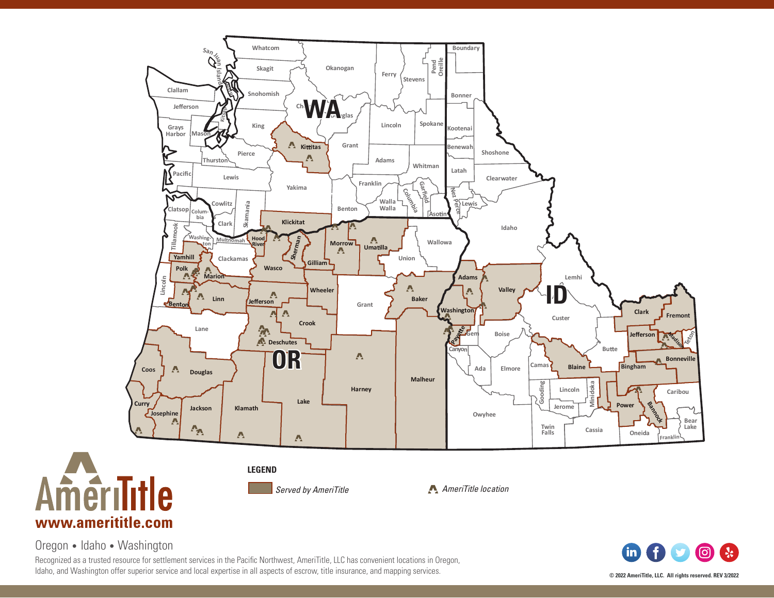

Oregon • Idaho • Washington

Recognized as a trusted resource for settlement services in the Pacific Northwest, AmeriTitle, LLC has convenient locations in Oregon, Idaho, and Washington offer superior service and local expertise in all aspects of escrow, title insurance, and mapping services.

**fin** <u>(ල)</u>